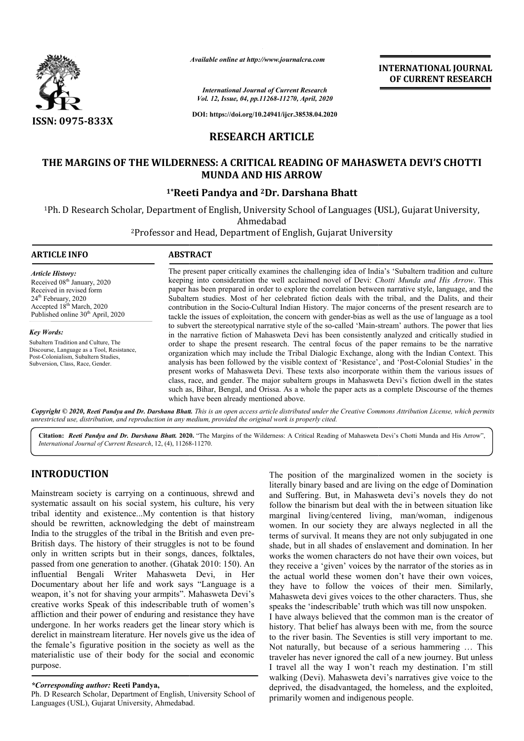

*Available online at http://www.journalcra.com*

*International Journal of Current Research Vol. 12, Issue, 04, pp.11268-11270, April, 2020*

**DOI: https://doi.org/10.24941/ijcr.38538.04.2020**

# **RESEARCH ARTICLE**

## **THE MARGINS OF THE WILDERNESS: A CRITICAL READING OF MAHASWETA DEVI'S CHOTTI A CRITICAL MUNDA AND HIS ARROW**

### **1\*Reeti Pandya Reeti and 2Dr. Darshana Bhatt**

<sup>1</sup>Ph. D Research Scholar, Department of English, University School of Languages (USL), Gujarat University,<br>Ahmedabad

<sup>2</sup>Professor and Head, Department of English, Gujarat University

### **ARTICLE INFO ABSTRACT**

*Article History:* Received 08<sup>th</sup> January, 2020 Received in revised form 24<sup>th</sup> February, 2020 Accepted 18<sup>th</sup> March, 2020 Published online 30<sup>th</sup> April, 2020

*Key Words:* Subaltern Tradition and Culture, The Discourse, Language as a Tool, Resistance, Post-Colonialism, Subaltern Studies, Subversion, Class, Race, Gender.

The present paper critically examines the challenging idea of India's 'Subaltern tradition and culture keeping into consideration the well acclaimed novel of Devi: Chotti Munda and His Arrow. This paper has been prepared in order to explore the correlation between narrative style, language, and the Subaltern studies. Most of her celebrated fiction deals with the tribal, and the Dalits, and their contribution in the Socio Socio-Cultural Indian History. The major concerns of the present research are to tackle the issues of exploitation, the concern with gender-bias as well as the use of language as a tool to subvert the stereotypical narrative style of the so-called 'Main-stream' authors. The power that lies in the narrative fiction of Mahasweta Devi has been consistently analyzed and critically studied in order to shape the present research. The central focus of the paper remains to be the narrative organization which may include the Tribal Dialogic Exchange, along with the Indian Context. This organization which may include the Tribal Dialogic Exchange, along with the Indian Context. This<br>analysis has been followed by the visible context of 'Resistance', and 'Post-Colonial Studies' in the present works of Mahasweta Devi. These texts also incorporate within them the various issues of class, race, and gender. The major subaltern groups in Mahasweta Devi's fiction dwell in the states such as, Bihar, Bengal, and Orissa. As a whole the paper acts as a complete Discourse of the themes which have been already mentioned above. paper has been prepared in order to explore the correlation between narrative style, language, and the Subaltern studies. Most of her celebrated fiction deals with the tribal, and the Dalits, and their contribution in the present works of Mahasweta Devi. These texts also incorporate within them the various issues of class, race, and gender. The major subaltern groups in Mahasweta Devi's fiction dwell in the states such as, Bihar, Bengal, an

Copyright © 2020, Reeti Pandya and Dr. Darshana Bhatt. This is an open access article distributed under the Creative Commons Attribution License, which permits *unrestricted use, distribution, and reproduction in any medium, provided the original work is properly cited.*

Citation: Reeti Pandya and Dr. Darshana Bhatt. 2020. "The Margins of the Wilderness: A Critical Reading of Mahasweta Devi's Chotti Munda and His Arrow", *International Journal of Current Research*, 12, (4), 11268 11268-11270.

## **INTRODUCTION**

Mainstream society is carrying on a continuous, shrewd and systematic assault on his social system, his culture, his very tribal identity and existence...My contention is that history should be rewritten, acknowledging the debt of mainstream India to the struggles of the tribal in the British and even pre-British days. The history of their struggles is not to be found only in written scripts but in their songs, dances, folktales, passed from one generation to another. (Ghatak 2010: 150) 150). An influential Bengali Writer Mahasweta Devi, in Her Documentary about her life and work says "Language is a weapon, it's not for shaving your armpits". Mahasweta Devi's creative works Speak of this indescribable truth of women's affliction and their power of enduring and resistance they have undergone. In her works readers get the linear story which is derelict in mainstream literature. Her novels give us the idea of the female's figurative position in the society as well as the materialistic use of their body for the social and economic purpose.

### *\*Corresponding author:* **Reeti Pandya,**

Ph. D Research Scholar, Department of English, University School of Languages (USL), Gujarat University, Ahmedabad.

The position of the marginalized women in the society is literally binary based and are living on the edge of Domination and Suffering. But, in Mahasweta devi's novels they do not follow the binarism but deal with the in between situation like marginal living/centered living, man/woman, indigenous women. In our society they are always neglected in all the terms of survival. It means they are not only subjugated in one shade, but in all shades of enslavement and domination. In her works the women characters do not have their own voices, but they receive a 'given' voices by the narrator of the stories as in the actual world these women don't have their own voices, they have to follow the voices of their men. Similarly, Mahasweta devi gives voices to the other characters. Thus, she speaks the 'indescribable' truth which was till now unspoken. I have always believed that the common man is the creator of history. That belief has always been with me, from the source to the river basin. The Seventies is still very important to me. Not naturally, but because of a serious hammering … This traveler has never ignored the call of a new journey. But unless I travel all the way I won't reach my destination. I'm still walking (Devi). Mahasweta devi's narratives give voice to the deprived, the disadvantaged, the homeless, and the exploited, primarily women and indigenous people. literally binary based and are living on the edge of Domination<br>and Suffering. But, in Mahasweta devi's novels they do not<br>follow the binarism but deal with the in between situation like In our society they are always neglected in all the of survival. It means they are not only subjugated in one but in all shades of enslavement and domination. In her he women characters do not have their own ve<br>ceive a 'given' voices by the narrator of the sto<br>ual world these women don't have their ow.<br>ave to follow the voices of their men. S<br>weta devi gives voices to the other charact

**INTERNATIONAL JOURNAL OF CURRENT RESEARCH**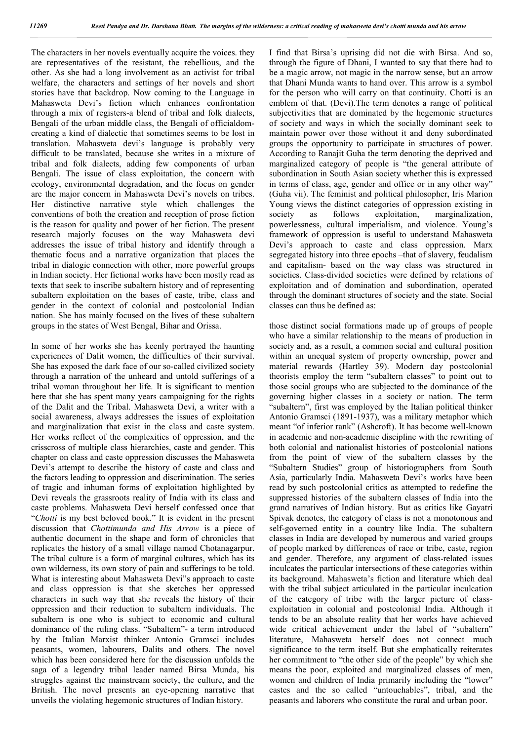The characters in her novels eventually acquire the voices. they are representatives of the resistant, the rebellious, and the other. As she had a long involvement as an activist for tribal welfare, the characters and settings of her novels and short stories have that backdrop. Now coming to the Language in Mahasweta Devi's fiction which enhances confrontation through a mix of registers-a blend of tribal and folk dialects, Bengali of the urban middle class, the Bengali of officialdomcreating a kind of dialectic that sometimes seems to be lost in translation. Mahasweta devi's language is probably very difficult to be translated, because she writes in a mixture of tribal and folk dialects, adding few components of urban Bengali. The issue of class exploitation, the concern with ecology, environmental degradation, and the focus on gender are the major concern in Mahasweta Devi's novels on tribes. Her distinctive narrative style which challenges the conventions of both the creation and reception of prose fiction is the reason for quality and power of her fiction. The present research majorly focuses on the way Mahasweta devi addresses the issue of tribal history and identify through a thematic focus and a narrative organization that places the tribal in dialogic connection with other, more powerful groups in Indian society. Her fictional works have been mostly read as texts that seek to inscribe subaltern history and of representing subaltern exploitation on the bases of caste, tribe, class and gender in the context of colonial and postcolonial Indian nation. She has mainly focused on the lives of these subaltern groups in the states of West Bengal, Bihar and Orissa.

In some of her works she has keenly portrayed the haunting experiences of Dalit women, the difficulties of their survival. She has exposed the dark face of our so-called civilized society through a narration of the unheard and untold sufferings of a tribal woman throughout her life. It is significant to mention here that she has spent many years campaigning for the rights of the Dalit and the Tribal. Mahasweta Devi, a writer with a social awareness, always addresses the issues of exploitation and marginalization that exist in the class and caste system. Her works reflect of the complexities of oppression, and the crisscross of multiple class hierarchies, caste and gender. This chapter on class and caste oppression discusses the Mahasweta Devi's attempt to describe the history of caste and class and the factors leading to oppression and discrimination. The series of tragic and inhuman forms of exploitation highlighted by Devi reveals the grassroots reality of India with its class and caste problems. Mahasweta Devi herself confessed once that "*Chotti* is my best beloved book." It is evident in the present discussion that *Chottimunda and His Arrow* is a piece of authentic document in the shape and form of chronicles that replicates the history of a small village named Chotanagarpur. The tribal culture is a form of marginal cultures, which has its own wilderness, its own story of pain and sufferings to be told. What is interesting about Mahasweta Devi"s approach to caste and class oppression is that she sketches her oppressed characters in such way that she reveals the history of their oppression and their reduction to subaltern individuals. The subaltern is one who is subject to economic and cultural dominance of the ruling class. "Subaltern"- a term introduced by the Italian Marxist thinker Antonio Gramsci includes peasants, women, labourers, Dalits and others. The novel which has been considered here for the discussion unfolds the saga of a legendry tribal leader named Birsa Munda, his struggles against the mainstream society, the culture, and the British. The novel presents an eye-opening narrative that unveils the violating hegemonic structures of Indian history.

I find that Birsa's uprising did not die with Birsa. And so, through the figure of Dhani, I wanted to say that there had to be a magic arrow, not magic in the narrow sense, but an arrow that Dhani Munda wants to hand over. This arrow is a symbol for the person who will carry on that continuity. Chotti is an emblem of that. (Devi).The term denotes a range of political subjectivities that are dominated by the hegemonic structures of society and ways in which the socially dominant seek to maintain power over those without it and deny subordinated groups the opportunity to participate in structures of power. According to Ranajit Guha the term denoting the deprived and marginalized category of people is "the general attribute of subordination in South Asian society whether this is expressed in terms of class, age, gender and office or in any other way" (Guha vii). The feminist and political philosopher, Iris Marion Young views the distinct categories of oppression existing in society as follows exploitation, marginalization, powerlessness, cultural imperialism, and violence. Young's framework of oppression is useful to understand Mahasweta Devi's approach to caste and class oppression. Marx segregated history into three epochs –that of slavery, feudalism and capitalism- based on the way class was structured in societies. Class-divided societies were defined by relations of exploitation and of domination and subordination, operated through the dominant structures of society and the state. Social classes can thus be defined as:

those distinct social formations made up of groups of people who have a similar relationship to the means of production in society and, as a result, a common social and cultural position within an unequal system of property ownership, power and material rewards (Hartley 39). Modern day postcolonial theorists employ the term "subaltern classes" to point out to those social groups who are subjected to the dominance of the governing higher classes in a society or nation. The term "subaltern", first was employed by the Italian political thinker Antonio Gramsci (1891-1937), was a military metaphor which meant "of inferior rank" (Ashcroft). It has become well-known in academic and non-academic discipline with the rewriting of both colonial and nationalist histories of postcolonial nations from the point of view of the subaltern classes by the "Subaltern Studies" group of historiographers from South Asia, particularly India. Mahasweta Devi's works have been read by such postcolonial critics as attempted to redefine the suppressed histories of the subaltern classes of India into the grand narratives of Indian history. But as critics like Gayatri Spivak denotes, the category of class is not a monotonous and self-governed entity in a country like India. The subaltern classes in India are developed by numerous and varied groups of people marked by differences of race or tribe, caste, region and gender. Therefore, any argument of class-related issues inculcates the particular intersections of these categories within its background. Mahasweta's fiction and literature which deal with the tribal subject articulated in the particular inculcation of the category of tribe with the larger picture of classexploitation in colonial and postcolonial India. Although it tends to be an absolute reality that her works have achieved wide critical achievement under the label of "subaltern" literature, Mahasweta herself does not connect much significance to the term itself. But she emphatically reiterates her commitment to "the other side of the people" by which she means the poor, exploited and marginalized classes of men, women and children of India primarily including the "lower" castes and the so called "untouchables", tribal, and the peasants and laborers who constitute the rural and urban poor.